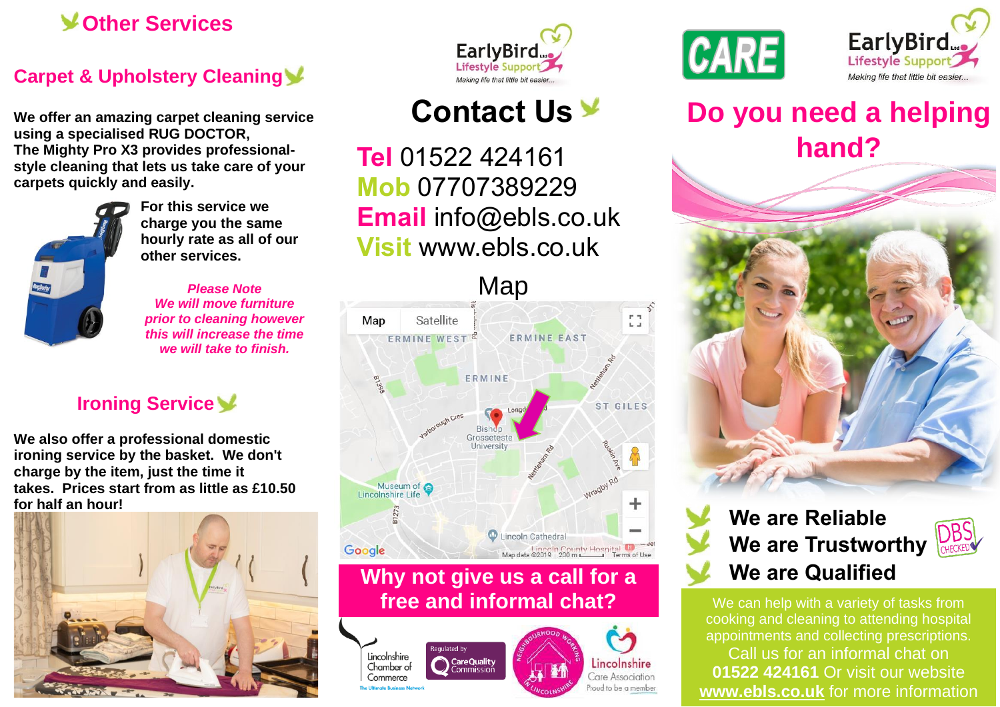### **Other Services**

### **Carpet & Upholstery Cleaning**

**We offer an amazing carpet cleaning service using a specialised RUG DOCTOR, The Mighty Pro X3 provides professionalstyle cleaning that lets us take care of your carpets quickly and easily.**



**For this service we charge you the same hourly rate as all of our other services.**

*Please Note We will move furniture prior to cleaning however this will increase the time we will take to finish.*

### **Ironing Service**

**We also offer a professional domestic ironing service by the basket. We don't charge by the item, just the time it takes. Prices start from as little as £10.50 for half an hour!**





# **Contact Us**

**Tel** 01522 424161 **Mob** 07707389229 **Email** [info@ebls.co.uk](mailto:info@ebls.co.uk) **Visit** [www.ebls.co.uk](http://www.ebls.co.uk/)



### **Why not give us a call for a free and informal chat?**

**CareQuality**<br>Commission









# **Do you need a helping hand?**



## **We are Reliable We are Trustworthy We are Qualified**



We can help with a variety of tasks from cooking and cleaning to attending hospital appointments and collecting prescriptions. Call us for an informal chat on **01522 424161** Or visit our website **[www.ebls.co.uk](http://www.ebls.co.uk/)** for more information